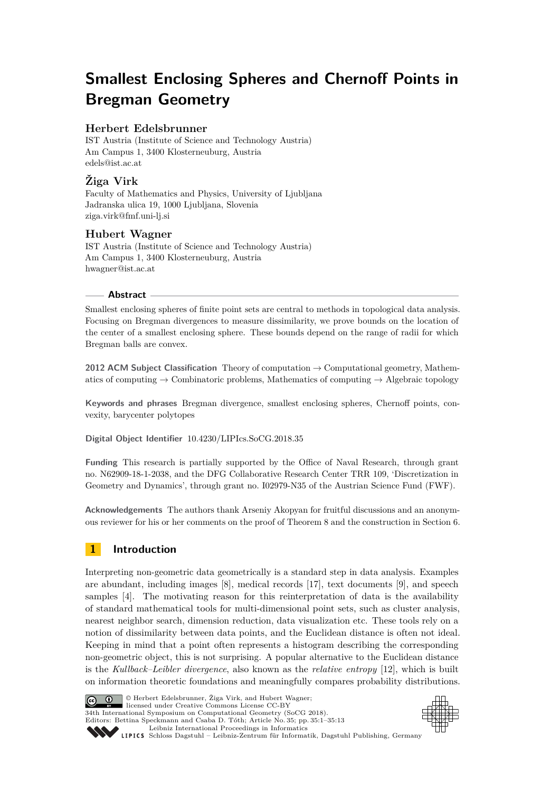# **Smallest Enclosing Spheres and Chernoff Points in Bregman Geometry**

# **Herbert Edelsbrunner**

IST Austria (Institute of Science and Technology Austria) Am Campus 1, 3400 Klosterneuburg, Austria [edels@ist.ac.at](mailto:edels@ist.ac.at)

# **Žiga Virk**

Faculty of Mathematics and Physics, University of Ljubljana Jadranska ulica 19, 1000 Ljubljana, Slovenia [ziga.virk@fmf.uni-lj.si](mailto:ziga.virk@fmf.uni-lj.si)

# **Hubert Wagner**

IST Austria (Institute of Science and Technology Austria) Am Campus 1, 3400 Klosterneuburg, Austria [hwagner@ist.ac.at](mailto:hwagner@ist.ac.at)

#### **Abstract**

Smallest enclosing spheres of finite point sets are central to methods in topological data analysis. Focusing on Bregman divergences to measure dissimilarity, we prove bounds on the location of the center of a smallest enclosing sphere. These bounds depend on the range of radii for which Bregman balls are convex.

**2012 ACM Subject Classification** Theory of computation → Computational geometry, Mathematics of computing  $\rightarrow$  Combinatoric problems, Mathematics of computing  $\rightarrow$  Algebraic topology

**Keywords and phrases** Bregman divergence, smallest enclosing spheres, Chernoff points, convexity, barycenter polytopes

**Digital Object Identifier** [10.4230/LIPIcs.SoCG.2018.35](http://dx.doi.org/10.4230/LIPIcs.SoCG.2018.35)

**Funding** This research is partially supported by the Office of Naval Research, through grant no. N62909-18-1-2038, and the DFG Collaborative Research Center TRR 109, 'Discretization in Geometry and Dynamics', through grant no. I02979-N35 of the Austrian Science Fund (FWF).

**Acknowledgements** The authors thank Arseniy Akopyan for fruitful discussions and an anonymous reviewer for his or her comments on the proof of Theorem [8](#page-8-0) and the construction in Section [6.](#page-9-0)

# **1 Introduction**

Interpreting non-geometric data geometrically is a standard step in data analysis. Examples are abundant, including images [\[8\]](#page-12-0), medical records [\[17\]](#page-12-1), text documents [\[9\]](#page-12-2), and speech samples [\[4\]](#page-12-3). The motivating reason for this reinterpretation of data is the availability of standard mathematical tools for multi-dimensional point sets, such as cluster analysis, nearest neighbor search, dimension reduction, data visualization etc. These tools rely on a notion of dissimilarity between data points, and the Euclidean distance is often not ideal. Keeping in mind that a point often represents a histogram describing the corresponding non-geometric object, this is not surprising. A popular alternative to the Euclidean distance is the *Kullback–Leibler divergence*, also known as the *relative entropy* [\[12\]](#page-12-4), which is built on information theoretic foundations and meaningfully compares probability distributions.



© Herbert Edelsbrunner, Žiga Virk, and Hubert Wagner; licensed under Creative Commons License CC-BY 34th International Symposium on Computational Geometry (SoCG 2018). Editors: Bettina Speckmann and Csaba D. Tóth; Article No. 35; pp. 35:1–35[:13](#page-12-5)



[Leibniz International Proceedings in Informatics](http://www.dagstuhl.de/lipics/) [Schloss Dagstuhl – Leibniz-Zentrum für Informatik, Dagstuhl Publishing, Germany](http://www.dagstuhl.de)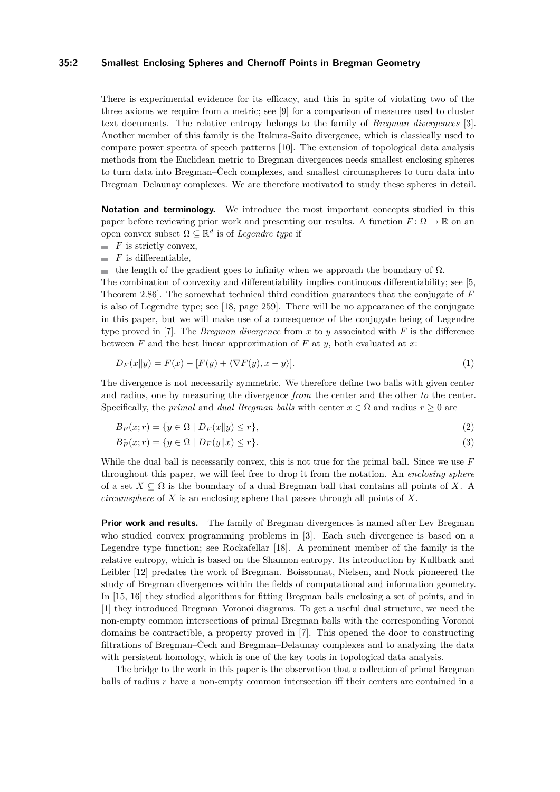#### **35:2 Smallest Enclosing Spheres and Chernoff Points in Bregman Geometry**

There is experimental evidence for its efficacy, and this in spite of violating two of the three axioms we require from a metric; see [\[9\]](#page-12-2) for a comparison of measures used to cluster text documents. The relative entropy belongs to the family of *Bregman divergences* [\[3\]](#page-12-6). Another member of this family is the Itakura-Saito divergence, which is classically used to compare power spectra of speech patterns [\[10\]](#page-12-7). The extension of topological data analysis methods from the Euclidean metric to Bregman divergences needs smallest enclosing spheres to turn data into Bregman–Čech complexes, and smallest circumspheres to turn data into Bregman–Delaunay complexes. We are therefore motivated to study these spheres in detail.

**Notation and terminology.** We introduce the most important concepts studied in this paper before reviewing prior work and presenting our results. A function  $F: \Omega \to \mathbb{R}$  on an open convex subset  $\Omega \subseteq \mathbb{R}^d$  is of *Legendre type* if

- $\blacksquare$  *F* is strictly convex,
- $\blacksquare$  *F* is differentiable,
- $\blacksquare$  the length of the gradient goes to infinity when we approach the boundary of  $\Omega$ .

The combination of convexity and differentiability implies continuous differentiability; see [\[5,](#page-12-8) Theorem 2.86]. The somewhat technical third condition guarantees that the conjugate of *F* is also of Legendre type; see [\[18,](#page-12-9) page 259]. There will be no appearance of the conjugate in this paper, but we will make use of a consequence of the conjugate being of Legendre type proved in [\[7\]](#page-12-10). The *Bregman divergence* from  $x$  to  $y$  associated with  $F$  is the difference between *F* and the best linear approximation of *F* at *y*, both evaluated at *x*:

$$
D_F(x||y) = F(x) - [F(y) + \langle \nabla F(y), x - y \rangle].
$$
\n(1)

The divergence is not necessarily symmetric. We therefore define two balls with given center and radius, one by measuring the divergence *from* the center and the other *to* the center. Specifically, the *primal* and *dual Bregman balls* with center  $x \in \Omega$  and radius  $r > 0$  are

$$
B_F(x;r) = \{ y \in \Omega \mid D_F(x||y) \le r \},\tag{2}
$$

$$
B_F^*(x; r) = \{ y \in \Omega \mid D_F(y \| x) \le r \}. \tag{3}
$$

While the dual ball is necessarily convex, this is not true for the primal ball. Since we use *F* throughout this paper, we will feel free to drop it from the notation. An *enclosing sphere* of a set  $X \subseteq \Omega$  is the boundary of a dual Bregman ball that contains all points of X. A *circumsphere* of *X* is an enclosing sphere that passes through all points of *X*.

**Prior work and results.** The family of Bregman divergences is named after Lev Bregman who studied convex programming problems in [\[3\]](#page-12-6). Each such divergence is based on a Legendre type function; see Rockafellar [\[18\]](#page-12-9). A prominent member of the family is the relative entropy, which is based on the Shannon entropy. Its introduction by Kullback and Leibler [\[12\]](#page-12-4) predates the work of Bregman. Boissonnat, Nielsen, and Nock pioneered the study of Bregman divergences within the fields of computational and information geometry. In [\[15,](#page-12-11) [16\]](#page-12-12) they studied algorithms for fitting Bregman balls enclosing a set of points, and in [\[1\]](#page-12-13) they introduced Bregman–Voronoi diagrams. To get a useful dual structure, we need the non-empty common intersections of primal Bregman balls with the corresponding Voronoi domains be contractible, a property proved in [\[7\]](#page-12-10). This opened the door to constructing filtrations of Bregman–Čech and Bregman–Delaunay complexes and to analyzing the data with persistent homology, which is one of the key tools in topological data analysis.

The bridge to the work in this paper is the observation that a collection of primal Bregman balls of radius *r* have a non-empty common intersection iff their centers are contained in a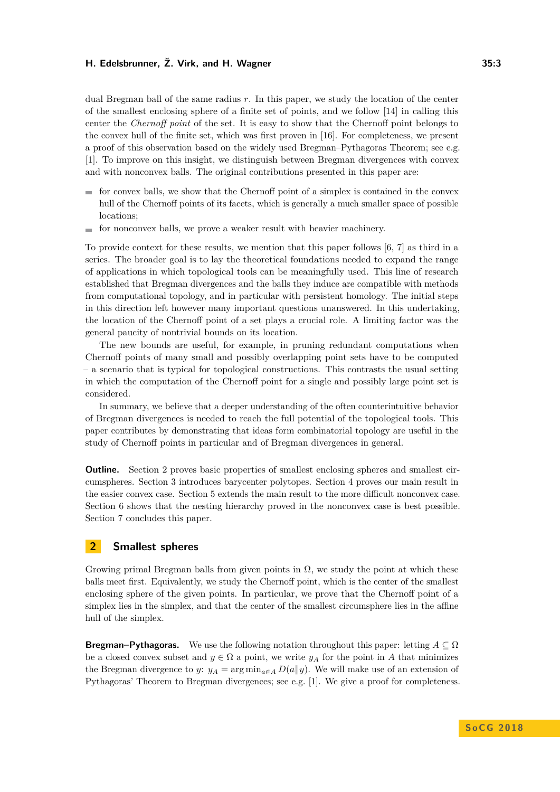dual Bregman ball of the same radius *r*. In this paper, we study the location of the center of the smallest enclosing sphere of a finite set of points, and we follow [\[14\]](#page-12-14) in calling this center the *Chernoff point* of the set. It is easy to show that the Chernoff point belongs to the convex hull of the finite set, which was first proven in [\[16\]](#page-12-12). For completeness, we present a proof of this observation based on the widely used Bregman–Pythagoras Theorem; see e.g. [\[1\]](#page-12-13). To improve on this insight, we distinguish between Bregman divergences with convex and with nonconvex balls. The original contributions presented in this paper are:

- for convex balls, we show that the Chernoff point of a simplex is contained in the convex  $\mathbf{r}$ hull of the Chernoff points of its facets, which is generally a much smaller space of possible locations;
- $\blacksquare$  for nonconvex balls, we prove a weaker result with heavier machinery.

To provide context for these results, we mention that this paper follows [\[6,](#page-12-15) [7\]](#page-12-10) as third in a series. The broader goal is to lay the theoretical foundations needed to expand the range of applications in which topological tools can be meaningfully used. This line of research established that Bregman divergences and the balls they induce are compatible with methods from computational topology, and in particular with persistent homology. The initial steps in this direction left however many important questions unanswered. In this undertaking, the location of the Chernoff point of a set plays a crucial role. A limiting factor was the general paucity of nontrivial bounds on its location.

The new bounds are useful, for example, in pruning redundant computations when Chernoff points of many small and possibly overlapping point sets have to be computed – a scenario that is typical for topological constructions. This contrasts the usual setting in which the computation of the Chernoff point for a single and possibly large point set is considered.

In summary, we believe that a deeper understanding of the often counterintuitive behavior of Bregman divergences is needed to reach the full potential of the topological tools. This paper contributes by demonstrating that ideas form combinatorial topology are useful in the study of Chernoff points in particular and of Bregman divergences in general.

**Outline.** Section [2](#page-2-0) proves basic properties of smallest enclosing spheres and smallest circumspheres. Section [3](#page-4-0) introduces barycenter polytopes. Section [4](#page-6-0) proves our main result in the easier convex case. Section [5](#page-8-1) extends the main result to the more difficult nonconvex case. Section [6](#page-9-0) shows that the nesting hierarchy proved in the nonconvex case is best possible. Section [7](#page-11-0) concludes this paper.

# <span id="page-2-0"></span>**2 Smallest spheres**

Growing primal Bregman balls from given points in  $\Omega$ , we study the point at which these balls meet first. Equivalently, we study the Chernoff point, which is the center of the smallest enclosing sphere of the given points. In particular, we prove that the Chernoff point of a simplex lies in the simplex, and that the center of the smallest circumsphere lies in the affine hull of the simplex.

**Bregman–Pythagoras.** We use the following notation throughout this paper: letting  $A \subseteq \Omega$ be a closed convex subset and  $y \in \Omega$  a point, we write  $y_A$  for the point in *A* that minimizes the Bregman divergence to *y*:  $y_A = \arg \min_{a \in A} D(a||y)$ . We will make use of an extension of Pythagoras' Theorem to Bregman divergences; see e.g. [\[1\]](#page-12-13). We give a proof for completeness.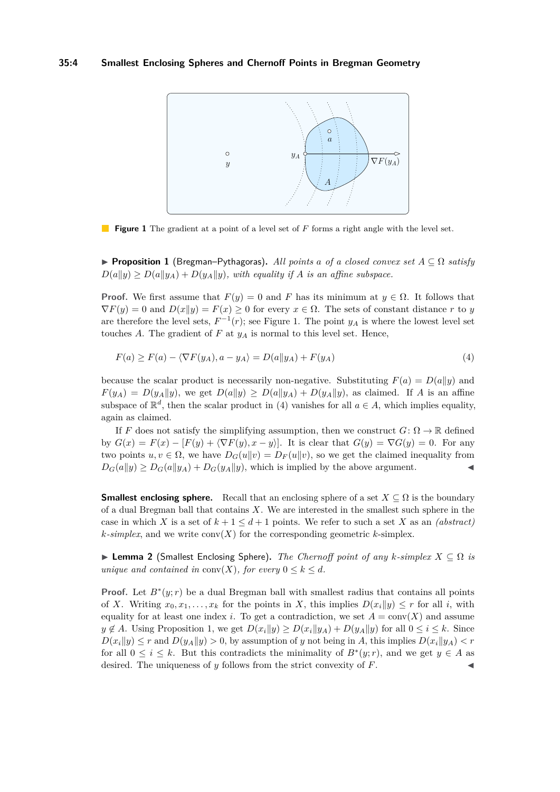<span id="page-3-0"></span>

**Figure 1** The gradient at a point of a level set of F forms a right angle with the level set.

<span id="page-3-2"></span>I **Proposition 1** (Bregman–Pythagoras)**.** *All points a of a closed convex set A* ⊆ Ω *satisfy*  $D(a||y) \geq D(a||y_A) + D(y_A||y)$ , with equality if *A* is an affine subspace.

**Proof.** We first assume that  $F(y) = 0$  and *F* has its minimum at  $y \in \Omega$ . It follows that  $\nabla F(y) = 0$  and  $D(x||y) = F(x) \ge 0$  for every  $x \in \Omega$ . The sets of constant distance *r* to *y* are therefore the level sets,  $F^{-1}(r)$ ; see Figure [1.](#page-3-0) The point  $y_A$  is where the lowest level set touches  $A$ . The gradient of  $F$  at  $y_A$  is normal to this level set. Hence,

<span id="page-3-1"></span>
$$
F(a) \ge F(a) - \langle \nabla F(y_A), a - y_A \rangle = D(a||y_A) + F(y_A)
$$
\n<sup>(4)</sup>

because the scalar product is necessarily non-negative. Substituting  $F(a) = D(a||y)$  and  $F(y_A) = D(y_A||y)$ , we get  $D(a||y) \ge D(a||y_A) + D(y_A||y)$ , as claimed. If *A* is an affine subspace of  $\mathbb{R}^d$ , then the scalar product in [\(4\)](#page-3-1) vanishes for all  $a \in A$ , which implies equality, again as claimed.

If *F* does not satisfy the simplifying assumption, then we construct  $G: \Omega \to \mathbb{R}$  defined by  $G(x) = F(x) - [F(y) + \langle \nabla F(y), x - y \rangle]$ . It is clear that  $G(y) = \nabla G(y) = 0$ . For any two points  $u, v \in \Omega$ , we have  $D_G(u||v) = D_F(u||v)$ , so we get the claimed inequality from  $D_G(a||y) \ge D_G(a||y_A) + D_G(y_A||y)$ , which is implied by the above argument.

**Smallest enclosing sphere.** Recall that an enclosing sphere of a set  $X \subseteq \Omega$  is the boundary of a dual Bregman ball that contains *X*. We are interested in the smallest such sphere in the case in which *X* is a set of  $k + 1 \leq d + 1$  points. We refer to such a set *X* as an *(abstract) k*-simplex, and we write  $conv(X)$  for the corresponding geometric *k*-simplex.

<span id="page-3-3"></span> $\triangleright$  **Lemma 2** (Smallest Enclosing Sphere). *The Chernoff point of any k-simplex*  $X ⊂ Ω$  *is unique and contained in* conv $(X)$ *, for every*  $0 \leq k \leq d$ *.* 

**Proof.** Let  $B^*(y; r)$  be a dual Bregman ball with smallest radius that contains all points of *X*. Writing  $x_0, x_1, \ldots, x_k$  for the points in *X*, this implies  $D(x_i||y) \leq r$  for all *i*, with equality for at least one index *i*. To get a contradiction, we set  $A = \text{conv}(X)$  and assume  $y \notin A$ . Using Proposition [1,](#page-3-2) we get  $D(x_i||y) \ge D(x_i||y_A) + D(y_A||y)$  for all  $0 \le i \le k$ . Since  $D(x_i||y) \leq r$  and  $D(y_A||y) > 0$ , by assumption of *y* not being in *A*, this implies  $D(x_i||y_A) < r$ for all  $0 \leq i \leq k$ . But this contradicts the minimality of  $B^*(y; r)$ , and we get  $y \in A$  as desired. The uniqueness of *y* follows from the strict convexity of *F*.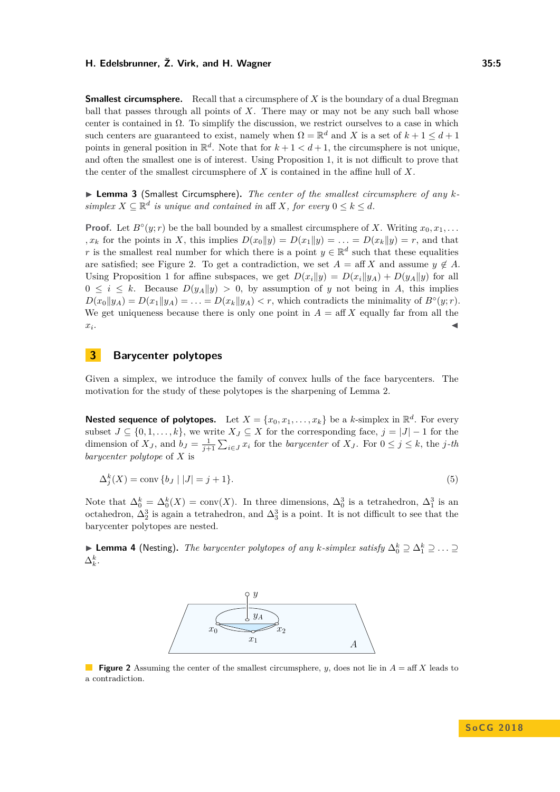**Smallest circumsphere.** Recall that a circumsphere of X is the boundary of a dual Bregman ball that passes through all points of *X*. There may or may not be any such ball whose center is contained in  $\Omega$ . To simplify the discussion, we restrict ourselves to a case in which such centers are guaranteed to exist, namely when  $\Omega = \mathbb{R}^d$  and X is a set of  $k + 1 \leq d + 1$ points in general position in  $\mathbb{R}^d$ . Note that for  $k+1 < d+1$ , the circumsphere is not unique, and often the smallest one is of interest. Using Proposition [1,](#page-3-2) it is not difficult to prove that the center of the smallest circumsphere of *X* is contained in the affine hull of *X*.

▶ **Lemma 3** (Smallest Circumsphere). *The center of the smallest circumsphere of any ksimplex*  $X \subseteq \mathbb{R}^d$  *is unique and contained in* aff *X, for every*  $0 \leq k \leq d$ *.* 

**Proof.** Let  $B^{\circ}(y; r)$  be the ball bounded by a smallest circumsphere of *X*. Writing  $x_0, x_1, \ldots$ *, x<sub>k</sub>* for the points in *X*, this implies  $D(x_0||y) = D(x_1||y) = \ldots = D(x_k||y) = r$ , and that *r* is the smallest real number for which there is a point  $y \in \mathbb{R}^d$  such that these equalities are satisfied; see Figure [2.](#page-4-1) To get a contradiction, we set  $A = \text{aff } X$  and assume  $y \notin A$ . Using Proposition [1](#page-3-2) for affine subspaces, we get  $D(x_i||y) = D(x_i||y_A) + D(y_A||y)$  for all  $0 \leq i \leq k$ . Because  $D(y_A||y) > 0$ , by assumption of *y* not being in *A*, this implies  $D(x_0||y_A) = D(x_1||y_A) = \ldots = D(x_k||y_A) < r$ , which contradicts the minimality of  $B<sup>o</sup>(y; r)$ . We get uniqueness because there is only one point in  $A = \text{aff } X$  equally far from all the *xi* . January 2006, January 2006, January 2006, January 2006, January 2006, January 2006, January 2006, January 20<br>Jeografi Barat na Panamary 2006, January 2006, January 2006, January 2006, January 2006, January 2006, January

# <span id="page-4-0"></span>**3 Barycenter polytopes**

Given a simplex, we introduce the family of convex hulls of the face barycenters. The motivation for the study of these polytopes is the sharpening of Lemma [2.](#page-3-3)

**Nested sequence of polytopes.** Let  $X = \{x_0, x_1, \ldots, x_k\}$  be a *k*-simplex in  $\mathbb{R}^d$ . For every subset  $J \subseteq \{0, 1, \ldots, k\}$ , we write  $X_J \subseteq X$  for the corresponding face,  $j = |J| - 1$  for the dimension of  $X_J$ , and  $b_J = \frac{1}{j+1} \sum_{i \in J} x_i$  for the *barycenter* of  $X_J$ . For  $0 \le j \le k$ , the *j*-th *barycenter polytope* of *X* is

$$
\Delta_j^k(X) = \text{conv}\{b_J \mid |J| = j+1\}.\tag{5}
$$

Note that  $\Delta_0^k = \Delta_0^k(X) = \text{conv}(X)$ . In three dimensions,  $\Delta_0^3$  is a tetrahedron,  $\Delta_1^3$  is an octahedron,  $\Delta_2^3$  is again a tetrahedron, and  $\Delta_3^3$  is a point. It is not difficult to see that the barycenter polytopes are nested.

<span id="page-4-1"></span>► Lemma 4 (Nesting). *The barycenter polytopes of any k-simplex satisfy*  $\Delta_0^k \supseteq \Delta_1^k \supseteq \ldots \supseteq$  $\Delta_k^k$ .



**Figure 2** Assuming the center of the smallest circumsphere, *y*, does not lie in  $A = \text{aff } X$  leads to a contradiction.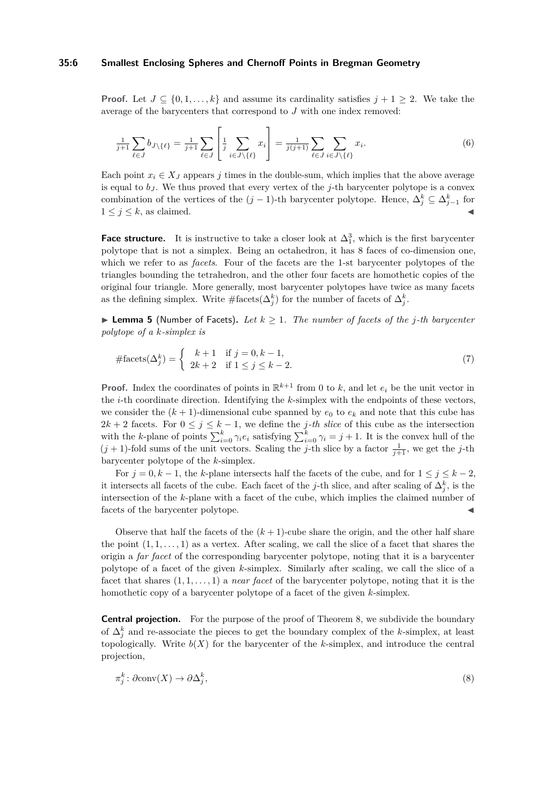#### **35:6 Smallest Enclosing Spheres and Chernoff Points in Bregman Geometry**

**Proof.** Let  $J \subseteq \{0, 1, \ldots, k\}$  and assume its cardinality satisfies  $j + 1 \geq 2$ . We take the average of the barycenters that correspond to *J* with one index removed:

$$
\frac{1}{j+1} \sum_{\ell \in J} b_{J \setminus \{\ell\}} = \frac{1}{j+1} \sum_{\ell \in J} \left[ \frac{1}{j} \sum_{i \in J \setminus \{\ell\}} x_i \right] = \frac{1}{j(j+1)} \sum_{\ell \in J} \sum_{i \in J \setminus \{\ell\}} x_i.
$$
 (6)

Each point  $x_i \in X_J$  appears *j* times in the double-sum, which implies that the above average is equal to  $b<sub>J</sub>$ . We thus proved that every vertex of the *j*-th barycenter polytope is a convex combination of the vertices of the  $(j-1)$ -th barycenter polytope. Hence,  $\Delta_j^k \subseteq \Delta_{j-1}^k$  for  $1 \leq j \leq k$ , as claimed.

**Face structure.** It is instructive to take a closer look at  $\Delta_1^3$ , which is the first barycenter polytope that is not a simplex. Being an octahedron, it has 8 faces of co-dimension one, which we refer to as *facets*. Four of the facets are the 1-st barycenter polytopes of the triangles bounding the tetrahedron, and the other four facets are homothetic copies of the original four triangle. More generally, most barycenter polytopes have twice as many facets as the defining simplex. Write  $\#\text{facets}(\Delta_j^k)$  for the number of facets of  $\Delta_j^k$ .

▶ **Lemma 5** (Number of Facets). Let  $k ≥ 1$ . The number of facets of the *j*-th barycenter *polytope of a k-simplex is*

$$
\# \text{facets}(\Delta_j^k) = \begin{cases} k+1 & \text{if } j = 0, k-1, \\ 2k+2 & \text{if } 1 \le j \le k-2. \end{cases} \tag{7}
$$

**Proof.** Index the coordinates of points in  $\mathbb{R}^{k+1}$  from 0 to k, and let  $e_i$  be the unit vector in the *i*-th coordinate direction. Identifying the *k*-simplex with the endpoints of these vectors, we consider the  $(k + 1)$ -dimensional cube spanned by  $e_0$  to  $e_k$  and note that this cube has  $2k + 2$  facets. For  $0 \leq j \leq k - 1$ , we define the *j*-th slice of this cube as the intersection with the *k*-plane of points  $\sum_{i=0}^{k} \gamma_i e_i$  satisfying  $\sum_{i=0}^{k} \gamma_i = j + 1$ . It is the convex hull of the  $(j + 1)$ -fold sums of the unit vectors. Scaling the *j*-th slice by a factor  $\frac{1}{j+1}$ , we get the *j*-th barycenter polytope of the *k*-simplex.

For  $j = 0, k - 1$ , the *k*-plane intersects half the facets of the cube, and for  $1 \le j \le k - 2$ , it intersects all facets of the cube. Each facet of the *j*-th slice, and after scaling of  $\Delta_j^k$ , is the intersection of the *k*-plane with a facet of the cube, which implies the claimed number of facets of the barycenter polytope.

Observe that half the facets of the  $(k+1)$ -cube share the origin, and the other half share the point  $(1, 1, \ldots, 1)$  as a vertex. After scaling, we call the slice of a facet that shares the origin a *far facet* of the corresponding barycenter polytope, noting that it is a barycenter polytope of a facet of the given *k*-simplex. Similarly after scaling, we call the slice of a facet that shares (1*,* 1*, . . . ,* 1) a *near facet* of the barycenter polytope, noting that it is the homothetic copy of a barycenter polytope of a facet of the given *k*-simplex.

**Central projection.** For the purpose of the proof of Theorem [8,](#page-8-0) we subdivide the boundary of  $\Delta_j^k$  and re-associate the pieces to get the boundary complex of the *k*-simplex, at least topologically. Write  $b(X)$  for the barycenter of the *k*-simplex, and introduce the central projection,

$$
\pi_j^k \colon \partial \text{conv}(X) \to \partial \Delta_j^k,\tag{8}
$$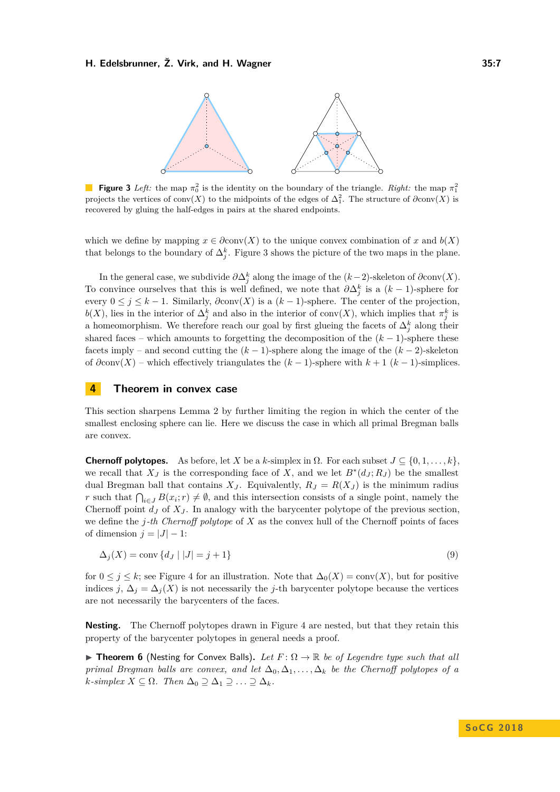<span id="page-6-1"></span>

**Figure 3** *Left:* the map  $\pi_0^2$  is the identity on the boundary of the triangle. *Right:* the map  $\pi_1^2$ projects the vertices of conv $(X)$  to the midpoints of the edges of  $\Delta_1^2$ . The structure of  $\partial \text{conv}(X)$  is recovered by gluing the half-edges in pairs at the shared endpoints.

which we define by mapping  $x \in \partial \text{conv}(X)$  to the unique convex combination of x and  $b(X)$ that belongs to the boundary of  $\Delta_j^k$ . Figure [3](#page-6-1) shows the picture of the two maps in the plane.

In the general case, we subdivide  $\partial \Delta_j^k$  along the image of the  $(k-2)$ -skeleton of  $\partial \text{conv}(X)$ . To convince ourselves that this is well defined, we note that  $\partial \Delta_j^k$  is a  $(k-1)$ -sphere for every  $0 \leq j \leq k-1$ . Similarly,  $\partial \text{conv}(X)$  is a  $(k-1)$ -sphere. The center of the projection,  $b(X)$ , lies in the interior of  $\Delta_j^k$  and also in the interior of conv $(X)$ , which implies that  $\pi_j^k$  is a homeomorphism. We therefore reach our goal by first glueing the facets of  $\Delta_j^k$  along their shared faces – which amounts to forgetting the decomposition of the  $(k-1)$ -sphere these facets imply – and second cutting the (*k* − 1)-sphere along the image of the (*k* − 2)-skeleton of *∂*conv(*X*) – which effectively triangulates the (*k* − 1)-sphere with *k* + 1 (*k* − 1)-simplices.

## <span id="page-6-0"></span>**4 Theorem in convex case**

This section sharpens Lemma [2](#page-3-3) by further limiting the region in which the center of the smallest enclosing sphere can lie. Here we discuss the case in which all primal Bregman balls are convex.

**Chernoff polytopes.** As before, let *X* be a *k*-simplex in  $\Omega$ . For each subset  $J \subseteq \{0, 1, \ldots, k\}$ . we recall that  $X_J$  is the corresponding face of X, and we let  $B^*(d_J; R_J)$  be the smallest dual Bregman ball that contains  $X_J$ . Equivalently,  $R_J = R(X_J)$  is the minimum radius *r* such that  $\bigcap_{i\in J} B(x_i; r) \neq \emptyset$ , and this intersection consists of a single point, namely the Chernoff point  $d_J$  of  $X_J$ . In analogy with the barycenter polytope of the previous section, we define the *j-th Chernoff polytope* of *X* as the convex hull of the Chernoff points of faces of dimension  $j = |J| - 1$ :

$$
\Delta_j(X) = \text{conv}\left\{d_J \mid |J| = j + 1\right\} \tag{9}
$$

for  $0 \leq j \leq k$ ; see Figure [4](#page-7-0) for an illustration. Note that  $\Delta_0(X) = \text{conv}(X)$ , but for positive indices *j*,  $\Delta_j = \Delta_j(X)$  is not necessarily the *j*-th barycenter polytope because the vertices are not necessarily the barycenters of the faces.

**Nesting.** The Chernoff polytopes drawn in Figure [4](#page-7-0) are nested, but that they retain this property of the barycenter polytopes in general needs a proof.

<span id="page-6-2"></span>**Figure 7 Figure 6** (Nesting for Convex Balls). Let  $F: \Omega \to \mathbb{R}$  be of Legendre type such that all *primal Bregman balls are convex, and let*  $\Delta_0, \Delta_1, \ldots, \Delta_k$  *be the Chernoff polytopes of a*  $k$ *-simplex*  $X \subseteq \Omega$ *. Then*  $\Delta_0 \supseteq \Delta_1 \supseteq \ldots \supseteq \Delta_k$ *.*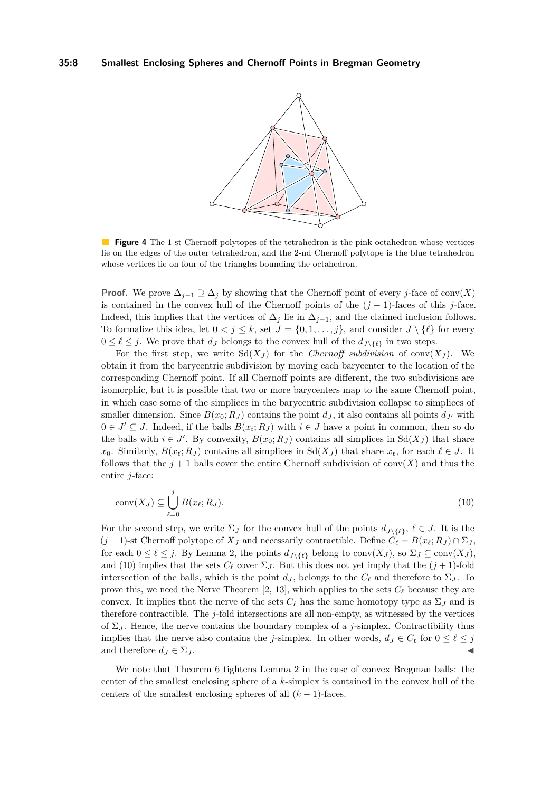<span id="page-7-0"></span>

**Figure 4** The 1-st Chernoff polytopes of the tetrahedron is the pink octahedron whose vertices lie on the edges of the outer tetrahedron, and the 2-nd Chernoff polytope is the blue tetrahedron whose vertices lie on four of the triangles bounding the octahedron.

**Proof.** We prove  $\Delta_{j-1} \supseteq \Delta_j$  by showing that the Chernoff point of every *j*-face of conv $(X)$ is contained in the convex hull of the Chernoff points of the (*j* − 1)-faces of this *j*-face. Indeed, this implies that the vertices of  $\Delta_j$  lie in  $\Delta_{j-1}$ , and the claimed inclusion follows. To formalize this idea, let  $0 < j \leq k$ , set  $J = \{0, 1, \ldots, j\}$ , and consider  $J \setminus \{\ell\}$  for every  $0 \leq \ell \leq j$ . We prove that  $d_J$  belongs to the convex hull of the  $d_{J \setminus {\ell \ell}}$  in two steps.

For the first step, we write  $Sd(X_J)$  for the *Chernoff subdivision* of conv $(X_J)$ . We obtain it from the barycentric subdivision by moving each barycenter to the location of the corresponding Chernoff point. If all Chernoff points are different, the two subdivisions are isomorphic, but it is possible that two or more barycenters map to the same Chernoff point, in which case some of the simplices in the barycentric subdivision collapse to simplices of smaller dimension. Since  $B(x_0; R_J)$  contains the point  $d_J$ , it also contains all points  $d_{J'}$  with  $0 \in J' \subseteq J$ . Indeed, if the balls  $B(x_i; R_J)$  with  $i \in J$  have a point in common, then so do the balls with  $i \in J'$ . By convexity,  $B(x_0; R_J)$  contains all simplices in  $Sd(X_J)$  that share *x*<sub>0</sub>. Similarly,  $B(x_\ell; R_J)$  contains all simplices in Sd( $X_J$ ) that share  $x_\ell$ , for each  $\ell \in J$ . It follows that the  $j+1$  balls cover the entire Chernoff subdivision of conv $(X)$  and thus the entire *j*-face:

<span id="page-7-1"></span>
$$
conv(X_J) \subseteq \bigcup_{\ell=0}^j B(x_\ell; R_J). \tag{10}
$$

For the second step, we write  $\Sigma_J$  for the convex hull of the points  $d_{J \setminus \{\ell\}}, \ell \in J$ . It is the  $(j-1)$ -st Chernoff polytope of  $X_J$  and necessarily contractible. Define  $C_\ell = B(x_\ell; R_J) \cap \Sigma_J$ , for each  $0 \leq \ell \leq j$ . By Lemma [2,](#page-3-3) the points  $d_{J \setminus \{\ell\}}$  belong to conv $(X_J)$ , so  $\Sigma_J \subseteq \text{conv}(X_J)$ , and [\(10\)](#page-7-1) implies that the sets  $C_{\ell}$  cover  $\Sigma_J$ . But this does not yet imply that the  $(j + 1)$ -fold intersection of the balls, which is the point  $d_J$ , belongs to the  $C_\ell$  and therefore to  $\Sigma_J$ . To prove this, we need the Nerve Theorem [\[2,](#page-12-16) [13\]](#page-12-17), which applies to the sets  $C_{\ell}$  because they are convex. It implies that the nerve of the sets  $C_\ell$  has the same homotopy type as  $\Sigma_J$  and is therefore contractible. The *j*-fold intersections are all non-empty, as witnessed by the vertices of  $\Sigma_J$ . Hence, the nerve contains the boundary complex of a *j*-simplex. Contractibility thus implies that the nerve also contains the *j*-simplex. In other words,  $d_J \in C_\ell$  for  $0 \leq \ell \leq j$ and therefore  $d_J \in \Sigma_J$ .

We note that Theorem [6](#page-6-2) tightens Lemma [2](#page-3-3) in the case of convex Bregman balls: the center of the smallest enclosing sphere of a *k*-simplex is contained in the convex hull of the centers of the smallest enclosing spheres of all  $(k-1)$ -faces.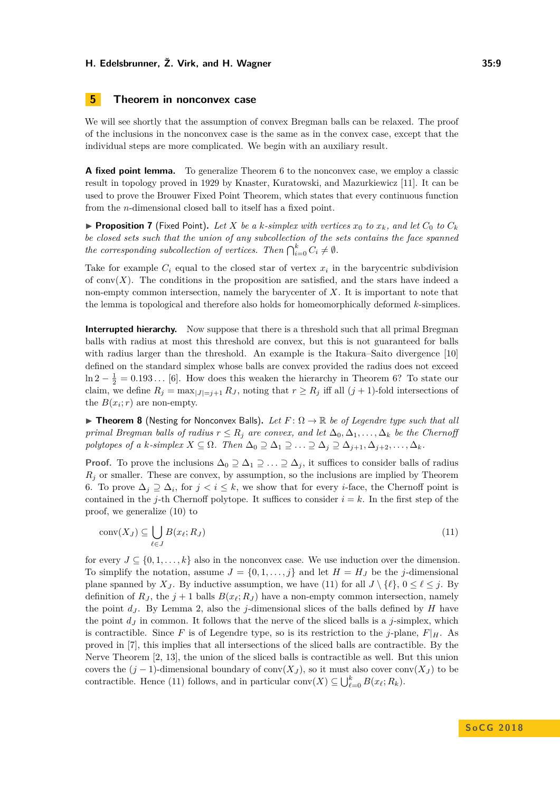# <span id="page-8-1"></span>**5 Theorem in nonconvex case**

We will see shortly that the assumption of convex Bregman balls can be relaxed. The proof of the inclusions in the nonconvex case is the same as in the convex case, except that the individual steps are more complicated. We begin with an auxiliary result.

**A fixed point lemma.** To generalize Theorem [6](#page-6-2) to the nonconvex case, we employ a classic result in topology proved in 1929 by Knaster, Kuratowski, and Mazurkiewicz [\[11\]](#page-12-18). It can be used to prove the Brouwer Fixed Point Theorem, which states that every continuous function from the *n*-dimensional closed ball to itself has a fixed point.

<span id="page-8-3"></span>**• Proposition 7** (Fixed Point). Let X be a *k*-simplex with vertices  $x_0$  to  $x_k$ , and let  $C_0$  to  $C_k$ *be closed sets such that the union of any subcollection of the sets contains the face spanned the corresponding subcollection of vertices. Then*  $\bigcap_{i=0}^{k} C_i \neq \emptyset$ .

Take for example  $C_i$  equal to the closed star of vertex  $x_i$  in the barycentric subdivision of  $conv(X)$ . The conditions in the proposition are satisfied, and the stars have indeed a non-empty common intersection, namely the barycenter of *X*. It is important to note that the lemma is topological and therefore also holds for homeomorphically deformed *k*-simplices.

**Interrupted hierarchy.** Now suppose that there is a threshold such that all primal Bregman balls with radius at most this threshold are convex, but this is not guaranteed for balls with radius larger than the threshold. An example is the Itakura–Saito divergence [\[10\]](#page-12-7) defined on the standard simplex whose balls are convex provided the radius does not exceed  $\ln 2 - \frac{1}{2} = 0.193...$  [\[6\]](#page-12-15). How does this weaken the hierarchy in Theorem [6?](#page-6-2) To state our claim, we define  $R_j = \max_{|J|=j+1} R_J$ , noting that  $r \geq R_j$  iff all  $(j + 1)$ -fold intersections of the  $B(x_i; r)$  are non-empty.

<span id="page-8-0"></span>**Theorem 8** (Nesting for Nonconvex Balls). Let  $F: \Omega \to \mathbb{R}$  be of Legendre type such that all *primal Bregman balls of radius*  $r \leq R_j$  *are convex, and let*  $\Delta_0, \Delta_1, \ldots, \Delta_k$  *be the Chernoff polytopes of a k-simplex*  $X \subseteq \Omega$ *. Then*  $\Delta_0 \supseteq \Delta_1 \supseteq \ldots \supseteq \Delta_j \supseteq \Delta_{j+1}, \Delta_{j+2}, \ldots, \Delta_k$ .

**Proof.** To prove the inclusions  $\Delta_0 \supseteq \Delta_1 \supseteq \ldots \supseteq \Delta_j$ , it suffices to consider balls of radius *R<sup>j</sup>* or smaller. These are convex, by assumption, so the inclusions are implied by Theorem [6.](#page-6-2) To prove  $\Delta_j \supseteq \Delta_i$ , for  $j < i \leq k$ , we show that for every *i*-face, the Chernoff point is contained in the *j*-th Chernoff polytope. It suffices to consider  $i = k$ . In the first step of the proof, we generalize [\(10\)](#page-7-1) to

<span id="page-8-2"></span>
$$
conv(X_J) \subseteq \bigcup_{\ell \in J} B(x_\ell; R_J) \tag{11}
$$

for every  $J \subseteq \{0, 1, \ldots, k\}$  also in the nonconvex case. We use induction over the dimension. To simplify the notation, assume  $J = \{0, 1, \ldots, j\}$  and let  $H = H_J$  be the *j*-dimensional plane spanned by *X<sub>J</sub>*. By inductive assumption, we have [\(11\)](#page-8-2) for all  $J \setminus \{l\}$ ,  $0 \le l \le j$ . By definition of  $R_J$ , the  $j + 1$  balls  $B(x_\ell; R_J)$  have a non-empty common intersection, namely the point *d<sup>J</sup>* . By Lemma [2,](#page-3-3) also the *j*-dimensional slices of the balls defined by *H* have the point *d<sup>J</sup>* in common. It follows that the nerve of the sliced balls is a *j*-simplex, which is contractible. Since F is of Legendre type, so is its restriction to the *j*-plane,  $F|_H$ . As proved in [\[7\]](#page-12-10), this implies that all intersections of the sliced balls are contractible. By the Nerve Theorem [\[2,](#page-12-16) [13\]](#page-12-17), the union of the sliced balls is contractible as well. But this union covers the  $(j-1)$ -dimensional boundary of conv $(X<sub>J</sub>)$ , so it must also cover conv $(X<sub>J</sub>)$  to be contractible. Hence [\(11\)](#page-8-2) follows, and in particular conv $(X) \subseteq \bigcup_{\ell=0}^{k} B(x_{\ell}; R_k)$ .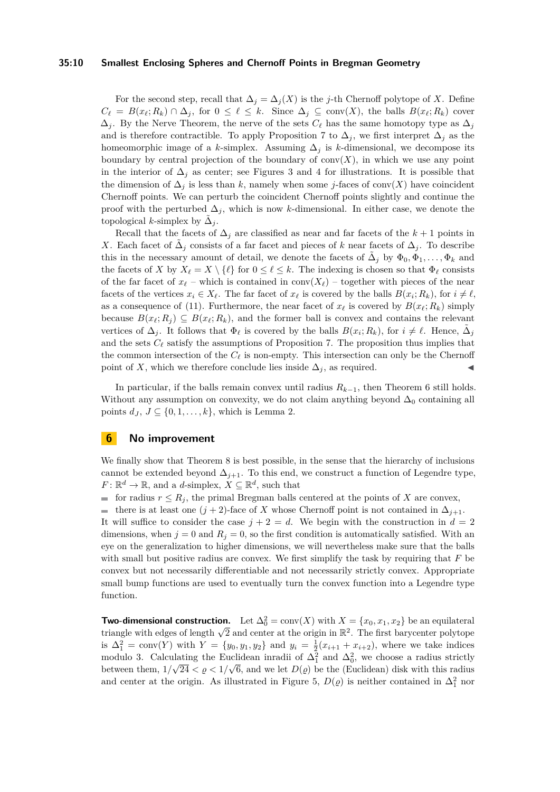#### **35:10 Smallest Enclosing Spheres and Chernoff Points in Bregman Geometry**

For the second step, recall that  $\Delta_j = \Delta_j(X)$  is the *j*-th Chernoff polytope of *X*. Define  $C_{\ell} = B(x_{\ell}; R_k) \cap \Delta_j$ , for  $0 \leq \ell \leq k$ . Since  $\Delta_j \subseteq \text{conv}(X)$ , the balls  $B(x_{\ell}; R_k)$  cover  $\Delta_i$ . By the Nerve Theorem, the nerve of the sets  $C_\ell$  has the same homotopy type as  $\Delta_i$ and is therefore contractible. To apply Proposition [7](#page-8-3) to  $\Delta_j$ , we first interpret  $\Delta_j$  as the homeomorphic image of a *k*-simplex. Assuming  $\Delta_j$  is *k*-dimensional, we decompose its boundary by central projection of the boundary of  $conv(X)$ , in which we use any point in the interior of  $\Delta_j$  as center; see Figures [3](#page-6-1) and [4](#page-7-0) for illustrations. It is possible that the dimension of  $\Delta_j$  is less than *k*, namely when some *j*-faces of conv(*X*) have coincident Chernoff points. We can perturb the coincident Chernoff points slightly and continue the proof with the perturbed  $\Delta_j$ , which is now *k*-dimensional. In either case, we denote the topological *k*-simplex by  $\tilde{\Delta}_j$ .

Recall that the facets of  $\Delta_i$  are classified as near and far facets of the  $k+1$  points in *X*. Each facet of  $\tilde{\Delta}_j$  consists of a far facet and pieces of *k* near facets of  $\Delta_j$ . To describe this in the necessary amount of detail, we denote the facets of  $\tilde{\Delta}_j$  by  $\Phi_0, \tilde{\Phi}_1, \ldots, \Phi_k$  and the facets of *X* by  $X_{\ell} = X \setminus {\{\ell\}}$  for  $0 \leq \ell \leq k$ . The indexing is chosen so that  $\Phi_{\ell}$  consists of the far facet of  $x_\ell$  – which is contained in conv $(X_\ell)$  – together with pieces of the near facets of the vertices  $x_i \in X_\ell$ . The far facet of  $x_\ell$  is covered by the balls  $B(x_i; R_k)$ , for  $i \neq \ell$ , as a consequence of [\(11\)](#page-8-2). Furthermore, the near facet of  $x_\ell$  is covered by  $B(x_\ell; R_k)$  simply because  $B(x_\ell; R_i) \subseteq B(x_\ell; R_k)$ , and the former ball is convex and contains the relevant vertices of  $\Delta_j$ . It follows that  $\Phi_\ell$  is covered by the balls  $B(x_i; R_k)$ , for  $i \neq \ell$ . Hence,  $\tilde{\Delta}_j$ and the sets  $C_{\ell}$  satisfy the assumptions of Proposition [7.](#page-8-3) The proposition thus implies that the common intersection of the  $C_{\ell}$  is non-empty. This intersection can only be the Chernoff point of *X*, which we therefore conclude lies inside  $\Delta_j$ , as required.

In particular, if the balls remain convex until radius  $R_{k-1}$ , then Theorem [6](#page-6-2) still holds. Without any assumption on convexity, we do not claim anything beyond  $\Delta_0$  containing all points  $d_J, J \subseteq \{0, 1, \ldots, k\}$ , which is Lemma [2.](#page-3-3)

### <span id="page-9-0"></span>**6 No improvement**

We finally show that Theorem [8](#page-8-0) is best possible, in the sense that the hierarchy of inclusions cannot be extended beyond  $\Delta_{j+1}$ . To this end, we construct a function of Legendre type,  $F: \mathbb{R}^d \to \mathbb{R}$ , and a *d*-simplex,  $X \subseteq \mathbb{R}^d$ , such that

for radius  $r \leq R_j$ , the primal Bregman balls centered at the points of *X* are convex,

**■** there is at least one  $(j + 2)$ -face of *X* whose Chernoff point is not contained in  $\Delta_{j+1}$ . It will suffice to consider the case  $j + 2 = d$ . We begin with the construction in  $d = 2$ dimensions, when  $j = 0$  and  $R_j = 0$ , so the first condition is automatically satisfied. With an eye on the generalization to higher dimensions, we will nevertheless make sure that the balls with small but positive radius are convex. We first simplify the task by requiring that *F* be convex but not necessarily differentiable and not necessarily strictly convex. Appropriate small bump functions are used to eventually turn the convex function into a Legendre type function.

**Two-dimensional construction.** Let  $\Delta_0^2 = \text{conv}(X)$  with  $X = \{x_0, x_1, x_2\}$  be an equilateral **Two-dimensional construction.** Let  $\Delta_0 = \text{conv}(\lambda)$  with  $\lambda = \{x_0, x_1, x_2\}$  be an equilateral triangle with edges of length  $\sqrt{2}$  and center at the origin in  $\mathbb{R}^2$ . The first barycenter polytope is  $\Delta_1^2 = \text{conv}(Y)$  with  $Y = \{y_0, y_1, y_2\}$  and  $y_i = \frac{1}{2}(x_{i+1} + x_{i+2})$ , where we take indices modulo 3. Calculating the Euclidean inradii of  $\Delta_1^2$  and  $\Delta_0^2$ , we choose a radius strictly between them,  $1/\sqrt{24} < \varrho < 1/\sqrt{6}$ , and we let  $D(\varrho)$  be the (Euclidean) disk with this radius and center at the origin. As illustrated in Figure [5,](#page-10-0)  $D(\varrho)$  is neither contained in  $\Delta_1^2$  nor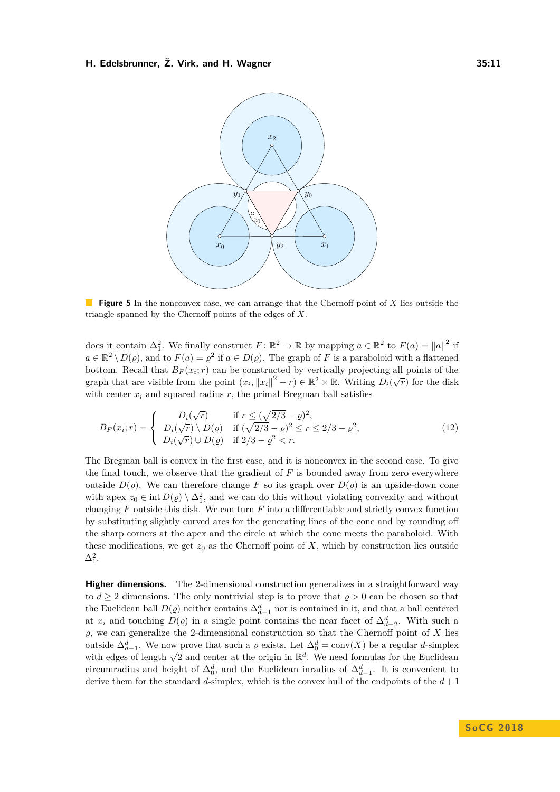<span id="page-10-0"></span>

**Figure 5** In the nonconvex case, we can arrange that the Chernoff point of *X* lies outside the triangle spanned by the Chernoff points of the edges of *X*.

does it contain  $\Delta_1^2$ . We finally construct  $F: \mathbb{R}^2 \to \mathbb{R}$  by mapping  $a \in \mathbb{R}^2$  to  $F(a) = ||a||^2$  if  $a \in \mathbb{R}^2 \setminus D(\varrho)$ , and to  $F(a) = \varrho^2$  if  $a \in D(\varrho)$ . The graph of *F* is a paraboloid with a flattened bottom. Recall that  $B_F(x_i; r)$  can be constructed by vertically projecting all points of the graph that are visible from the point  $(x_i, ||x_i||^2 - r) \in \mathbb{R}^2 \times \mathbb{R}$ . Writing  $D_i(\sqrt{r})$  for the disk with center  $x_i$  and squared radius  $r$ , the primal Bregman ball satisfies

$$
B_F(x_i; r) = \begin{cases} D_i(\sqrt{r}) & \text{if } r \le (\sqrt{2/3} - \varrho)^2, \\ D_i(\sqrt{r}) \setminus D(\varrho) & \text{if } (\sqrt{2/3} - \varrho)^2 \le r \le 2/3 - \varrho^2, \\ D_i(\sqrt{r}) \cup D(\varrho) & \text{if } 2/3 - \varrho^2 < r. \end{cases} \tag{12}
$$

The Bregman ball is convex in the first case, and it is nonconvex in the second case. To give the final touch, we observe that the gradient of  $F$  is bounded away from zero everywhere outside  $D(\rho)$ . We can therefore change F so its graph over  $D(\rho)$  is an upside-down cone with apex  $z_0 \in \text{int } D(\varrho) \setminus \Delta_1^2$ , and we can do this without violating convexity and without changing *F* outside this disk. We can turn *F* into a differentiable and strictly convex function by substituting slightly curved arcs for the generating lines of the cone and by rounding off the sharp corners at the apex and the circle at which the cone meets the paraboloid. With these modifications, we get  $z_0$  as the Chernoff point of  $X$ , which by construction lies outside  $\Delta_1^2$ .

**Higher dimensions.** The 2-dimensional construction generalizes in a straightforward way to  $d \geq 2$  dimensions. The only nontrivial step is to prove that  $\rho > 0$  can be chosen so that the Euclidean ball  $D(\varrho)$  neither contains  $\Delta_{d-1}^d$  nor is contained in it, and that a ball centered at *x<sub>i</sub>* and touching  $D(\varrho)$  in a single point contains the near facet of  $\Delta_{d-2}^d$ . With such a  $\varrho$ , we can generalize the 2-dimensional construction so that the Chernoff point of *X* lies outside  $\Delta_{d-1}^d$ . We now prove that such a  $\varrho$  exists. Let  $\Delta_0^d = \text{conv}(X)$  be a regular *d*-simplex outside  $\Delta_{d-1}$ , we now prove that such a *y* exists. Let  $\Delta_0$  = conv( $\Delta$ ) be a regular *u*-simplex with edges of length  $\sqrt{2}$  and center at the origin in  $\mathbb{R}^d$ . We need formulas for the Euclidean circumradius and height of  $\Delta_0^d$ , and the Euclidean inradius of  $\Delta_{d-1}^d$ . It is convenient to derive them for the standard *d*-simplex, which is the convex hull of the endpoints of the *d* + 1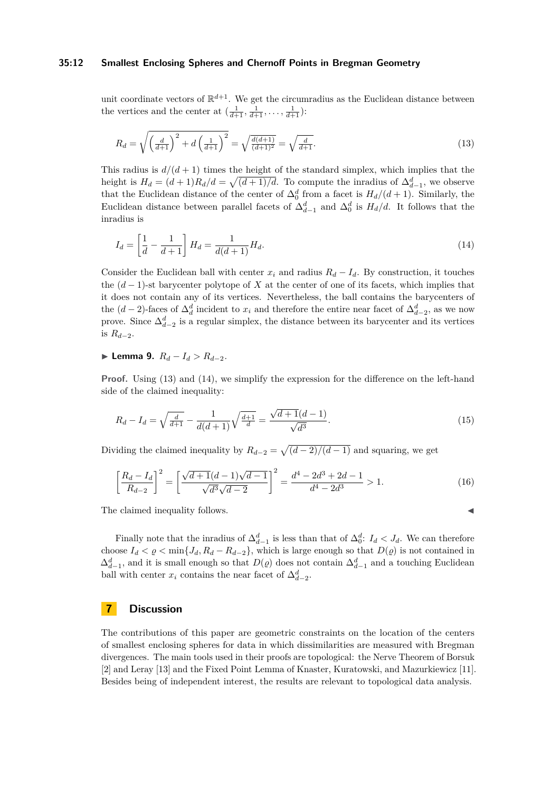#### **35:12 Smallest Enclosing Spheres and Chernoff Points in Bregman Geometry**

unit coordinate vectors of  $\mathbb{R}^{d+1}$ . We get the circumradius as the Euclidean distance between the vertices and the center at  $\left(\frac{1}{d+1}, \frac{1}{d+1}, \ldots, \frac{1}{d+1}\right)$ :

<span id="page-11-1"></span>
$$
R_d = \sqrt{\left(\frac{d}{d+1}\right)^2 + d\left(\frac{1}{d+1}\right)^2} = \sqrt{\frac{d(d+1)}{(d+1)^2}} = \sqrt{\frac{d}{d+1}}.
$$
\n(13)

This radius is  $d/(d+1)$  times the height of the standard simplex, which implies that the height is  $H_d = (d+1)R_d/d = \sqrt{(d+1)/d}$ . To compute the inradius of  $\Delta_{d-1}^d$ , we observe that the Euclidean distance of the center of  $\Delta_0^d$  from a facet is  $H_d/(d+1)$ . Similarly, the Euclidean distance between parallel facets of  $\Delta_{d-1}^d$  and  $\Delta_0^d$  is  $H_d/d$ . It follows that the inradius is

<span id="page-11-2"></span>
$$
I_d = \left[\frac{1}{d} - \frac{1}{d+1}\right] H_d = \frac{1}{d(d+1)} H_d.
$$
\n(14)

Consider the Euclidean ball with center  $x_i$  and radius  $R_d - I_d$ . By construction, it touches the  $(d-1)$ -st barycenter polytope of X at the center of one of its facets, which implies that it does not contain any of its vertices. Nevertheless, the ball contains the barycenters of the  $(d-2)$ -faces of  $\Delta_d^d$  incident to  $x_i$  and therefore the entire near facet of  $\Delta_{d-2}^d$ , as we now prove. Since  $\Delta_{d-2}^d$  is a regular simplex, the distance between its barycenter and its vertices is  $R_{d-2}$ .

# **► Lemma 9.**  $R_d - I_d > R_{d-2}$ .

**Proof.** Using [\(13\)](#page-11-1) and [\(14\)](#page-11-2), we simplify the expression for the difference on the left-hand side of the claimed inequality:

$$
R_d - I_d = \sqrt{\frac{d}{d+1}} - \frac{1}{d(d+1)}\sqrt{\frac{d+1}{d}} = \frac{\sqrt{d+1}(d-1)}{\sqrt{d^3}}.
$$
\n(15)

Dividing the claimed inequality by  $R_{d-2} = \sqrt{\frac{d-2}{d-1}}$  and squaring, we get

$$
\left[\frac{R_d - I_d}{R_{d-2}}\right]^2 = \left[\frac{\sqrt{d+1}(d-1)\sqrt{d-1}}{\sqrt{d^3}\sqrt{d-2}}\right]^2 = \frac{d^4 - 2d^3 + 2d - 1}{d^4 - 2d^3} > 1.
$$
\n(16)

The claimed inequality follows.

Finally note that the inradius of  $\Delta_{d-1}^d$  is less than that of  $\Delta_0^d$ :  $I_d < J_d$ . We can therefore choose  $I_d < \varrho < \min\{J_d, R_d - R_{d-2}\}\$ , which is large enough so that  $D(\varrho)$  is not contained in  $\Delta_{d-1}^d$ , and it is small enough so that  $D(\varrho)$  does not contain  $\Delta_{d-1}^d$  and a touching Euclidean ball with center  $x_i$  contains the near facet of  $\Delta_{d-2}^d$ .

# <span id="page-11-0"></span>**7 Discussion**

The contributions of this paper are geometric constraints on the location of the centers of smallest enclosing spheres for data in which dissimilarities are measured with Bregman divergences. The main tools used in their proofs are topological: the Nerve Theorem of Borsuk [\[2\]](#page-12-16) and Leray [\[13\]](#page-12-17) and the Fixed Point Lemma of Knaster, Kuratowski, and Mazurkiewicz [\[11\]](#page-12-18). Besides being of independent interest, the results are relevant to topological data analysis.